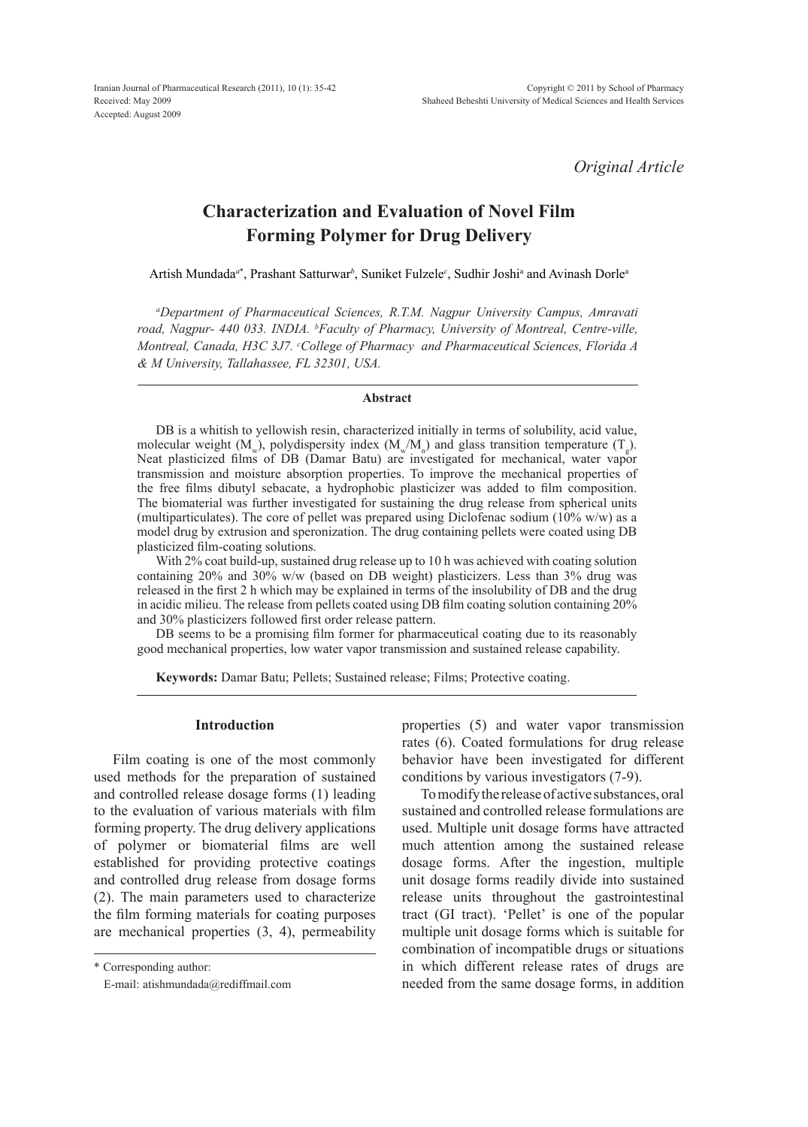*Original Article*

# **Characterization and Evaluation of Novel Film Forming Polymer for Drug Delivery**

Artish Mundada<sup>a\*</sup>, Prashant Satturwar<sup>b</sup>, Suniket Fulzele<sup>c</sup>, Sudhir Joshi<sup>a</sup> and Avinash Dorle<sup>a</sup>

*a Department of Pharmaceutical Sciences, R.T.M. Nagpur University Campus, Amravati road, Nagpur- 440 033. INDIA. b Faculty of Pharmacy, University of Montreal, Centre-ville, Montreal, Canada, H3C 3J7. c College of Pharmacy and Pharmaceutical Sciences, Florida A & M University, Tallahassee, FL 32301, USA.*

### **Abstract**

DB is a whitish to yellowish resin, characterized initially in terms of solubility, acid value, molecular weight  $(M_w)$ , polydispersity index  $(M_w/M_n)$  and glass transition temperature  $(T_g)$ . Neat plasticized films of DB (Damar Batu) are investigated for mechanical, water vapor transmission and moisture absorption properties. To improve the mechanical properties of the free films dibutyl sebacate, a hydrophobic plasticizer was added to film composition. The biomaterial was further investigated for sustaining the drug release from spherical units (multiparticulates). The core of pellet was prepared using Diclofenac sodium  $(10\%$  w/w) as a model drug by extrusion and speronization. The drug containing pellets were coated using DB plasticized film-coating solutions.

With 2% coat build-up, sustained drug release up to 10 h was achieved with coating solution containing 20% and 30% w/w (based on DB weight) plasticizers. Less than 3% drug was released in the first 2 h which may be explained in terms of the insolubility of DB and the drug in acidic milieu. The release from pellets coated using DB film coating solution containing 20% and 30% plasticizers followed first order release pattern.

DB seems to be a promising film former for pharmaceutical coating due to its reasonably good mechanical properties, low water vapor transmission and sustained release capability.

**Keywords:** Damar Batu; Pellets; Sustained release; Films; Protective coating.

### **Introduction**

Film coating is one of the most commonly used methods for the preparation of sustained and controlled release dosage forms (1) leading to the evaluation of various materials with film forming property. The drug delivery applications of polymer or biomaterial films are well established for providing protective coatings and controlled drug release from dosage forms (2). The main parameters used to characterize the film forming materials for coating purposes are mechanical properties (3, 4), permeability

\* Corresponding author:

properties (5) and water vapor transmission rates (6). Coated formulations for drug release behavior have been investigated for different conditions by various investigators (7-9).

To modify the release of active substances, oral sustained and controlled release formulations are used. Multiple unit dosage forms have attracted much attention among the sustained release dosage forms. After the ingestion, multiple unit dosage forms readily divide into sustained release units throughout the gastrointestinal tract (GI tract). 'Pellet' is one of the popular multiple unit dosage forms which is suitable for combination of incompatible drugs or situations in which different release rates of drugs are needed from the same dosage forms, in addition

E-mail: atishmundada@rediffmail.com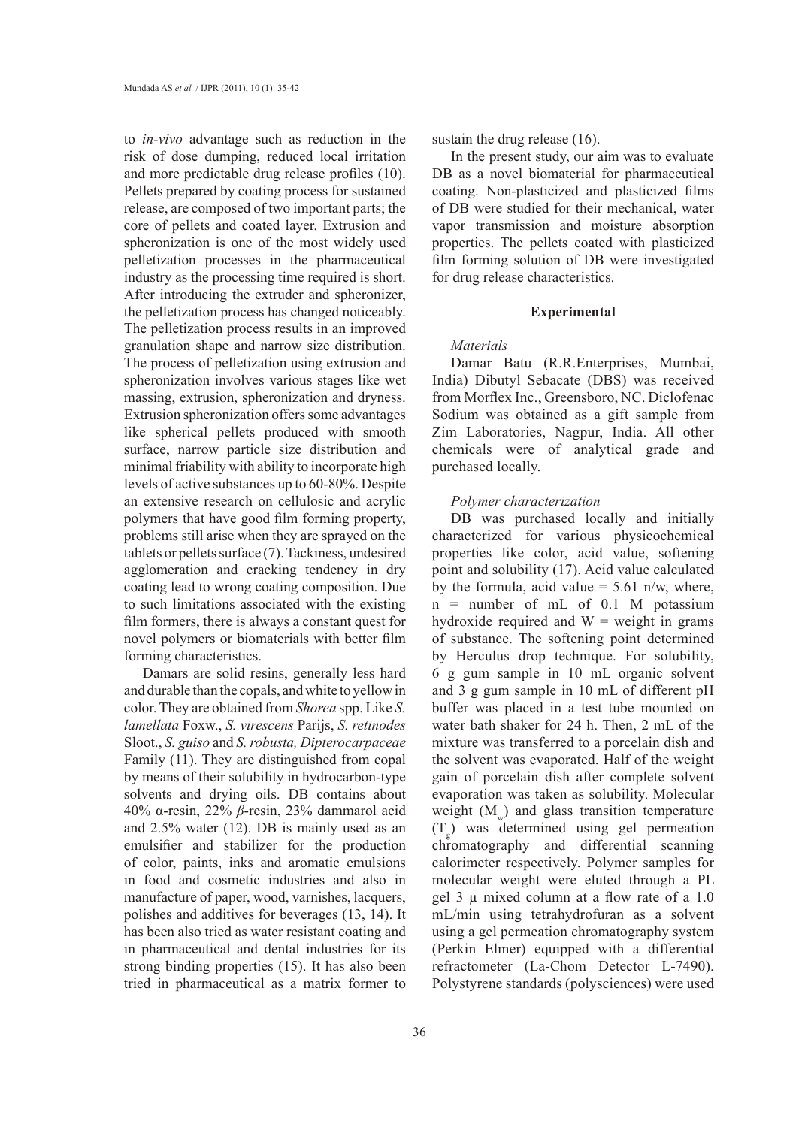to *in-vivo* advantage such as reduction in the risk of dose dumping, reduced local irritation and more predictable drug release profiles (10). Pellets prepared by coating process for sustained release, are composed of two important parts; the core of pellets and coated layer. Extrusion and spheronization is one of the most widely used pelletization processes in the pharmaceutical industry as the processing time required is short. After introducing the extruder and spheronizer, the pelletization process has changed noticeably. The pelletization process results in an improved granulation shape and narrow size distribution. The process of pelletization using extrusion and spheronization involves various stages like wet massing, extrusion, spheronization and dryness. Extrusion spheronization offers some advantages like spherical pellets produced with smooth surface, narrow particle size distribution and minimal friability with ability to incorporate high levels of active substances up to 60-80%. Despite an extensive research on cellulosic and acrylic polymers that have good film forming property, problems still arise when they are sprayed on the tablets or pellets surface (7). Tackiness, undesired agglomeration and cracking tendency in dry coating lead to wrong coating composition. Due to such limitations associated with the existing film formers, there is always a constant quest for novel polymers or biomaterials with better film forming characteristics.

Damars are solid resins, generally less hard and durable than the copals, and white to yellow in color. They are obtained from *Shorea* spp. Like *S. lamellata* Foxw., *S. virescens* Parijs, *S. retinodes* Sloot., *S. guiso* and *S. robusta, Dipterocarpaceae* Family (11). They are distinguished from copal by means of their solubility in hydrocarbon-type solvents and drying oils. DB contains about 40% α-resin, 22% *β*-resin, 23% dammarol acid and 2.5% water (12). DB is mainly used as an emulsifier and stabilizer for the production of color, paints, inks and aromatic emulsions in food and cosmetic industries and also in manufacture of paper, wood, varnishes, lacquers, polishes and additives for beverages (13, 14). It has been also tried as water resistant coating and in pharmaceutical and dental industries for its strong binding properties (15). It has also been tried in pharmaceutical as a matrix former to

sustain the drug release (16).

In the present study, our aim was to evaluate DB as a novel biomaterial for pharmaceutical coating. Non-plasticized and plasticized films of DB were studied for their mechanical, water vapor transmission and moisture absorption properties. The pellets coated with plasticized film forming solution of DB were investigated for drug release characteristics.

### **Experimental**

## *Materials*

Damar Batu (R.R.Enterprises, Mumbai, India) Dibutyl Sebacate (DBS) was received from Morflex Inc., Greensboro, NC. Diclofenac Sodium was obtained as a gift sample from Zim Laboratories, Nagpur, India. All other chemicals were of analytical grade and purchased locally.

### *Polymer characterization*

DB was purchased locally and initially characterized for various physicochemical properties like color, acid value, softening point and solubility (17). Acid value calculated by the formula, acid value  $= 5.61$  n/w, where, n = number of mL of 0.1 M potassium hydroxide required and  $W =$  weight in grams of substance. The softening point determined by Herculus drop technique. For solubility, 6 g gum sample in 10 mL organic solvent and 3 g gum sample in 10 mL of different pH buffer was placed in a test tube mounted on water bath shaker for 24 h. Then, 2 mL of the mixture was transferred to a porcelain dish and the solvent was evaporated. Half of the weight gain of porcelain dish after complete solvent evaporation was taken as solubility. Molecular weight  $(M<sub>omega</sub>)$  and glass transition temperature (Tg ) was determined using gel permeation chromatography and differential scanning calorimeter respectively. Polymer samples for molecular weight were eluted through a PL gel 3  $\mu$  mixed column at a flow rate of a 1.0 mL/min using tetrahydrofuran as a solvent using a gel permeation chromatography system (Perkin Elmer) equipped with a differential refractometer (La-Chom Detector L-7490). Polystyrene standards (polysciences) were used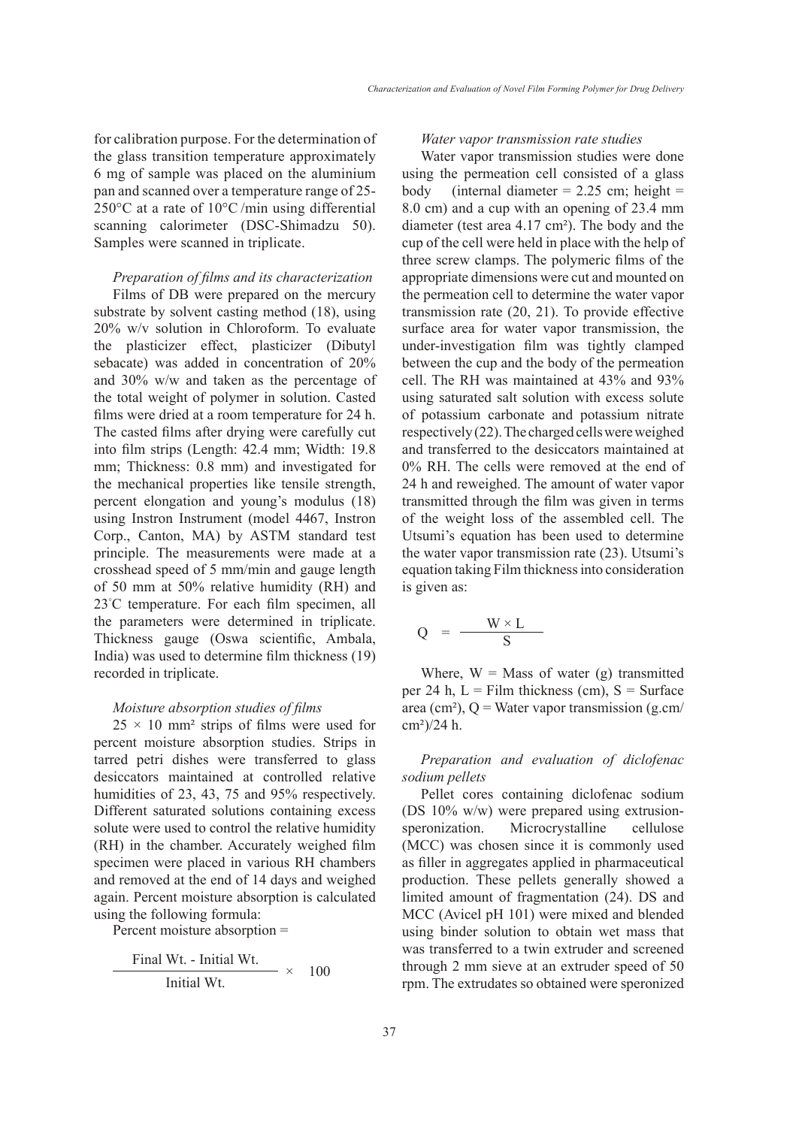for calibration purpose. For the determination of the glass transition temperature approximately 6 mg of sample was placed on the aluminium pan and scanned over a temperature range of 25- 250°C at a rate of 10°C /min using differential scanning calorimeter (DSC-Shimadzu 50). Samples were scanned in triplicate.

### *Preparation of films and its characterization*

Films of DB were prepared on the mercury substrate by solvent casting method (18), using 20% w/v solution in Chloroform. To evaluate the plasticizer effect, plasticizer (Dibutyl sebacate) was added in concentration of 20% and 30% w/w and taken as the percentage of the total weight of polymer in solution. Casted films were dried at a room temperature for 24 h. The casted films after drying were carefully cut into film strips (Length: 42.4 mm; Width: 19.8 mm; Thickness: 0.8 mm) and investigated for the mechanical properties like tensile strength, percent elongation and young's modulus (18) using Instron Instrument (model 4467, Instron Corp., Canton, MA) by ASTM standard test principle. The measurements were made at a crosshead speed of 5 mm/min and gauge length of 50 mm at 50% relative humidity (RH) and 23° C temperature. For each film specimen, all the parameters were determined in triplicate. Thickness gauge (Oswa scientific, Ambala, India) was used to determine film thickness (19) recorded in triplicate.

### *Moisture absorption studies of films*

 $25 \times 10$  mm<sup>2</sup> strips of films were used for percent moisture absorption studies. Strips in tarred petri dishes were transferred to glass desiccators maintained at controlled relative humidities of 23, 43, 75 and 95% respectively. Different saturated solutions containing excess solute were used to control the relative humidity (RH) in the chamber. Accurately weighed film specimen were placed in various RH chambers and removed at the end of 14 days and weighed again. Percent moisture absorption is calculated using the following formula:

Percent moisture absorption =

Final Wt. - Initial Wt. <sup>×</sup> <sup>100</sup> Initial Wt.

### *Water vapor transmission rate studies*

Water vapor transmission studies were done using the permeation cell consisted of a glass body (internal diameter  $= 2.25$  cm; height  $=$ 8.0 cm) and a cup with an opening of 23.4 mm diameter (test area 4.17 cm²). The body and the cup of the cell were held in place with the help of three screw clamps. The polymeric films of the appropriate dimensions were cut and mounted on the permeation cell to determine the water vapor transmission rate (20, 21). To provide effective surface area for water vapor transmission, the under-investigation film was tightly clamped between the cup and the body of the permeation cell. The RH was maintained at 43% and 93% using saturated salt solution with excess solute of potassium carbonate and potassium nitrate respectively (22). The charged cells were weighed and transferred to the desiccators maintained at 0% RH. The cells were removed at the end of 24 h and reweighed. The amount of water vapor transmitted through the film was given in terms of the weight loss of the assembled cell. The Utsumi's equation has been used to determine the water vapor transmission rate (23). Utsumi's equation taking Film thickness into consideration is given as:

$$
Q = \frac{W \times L}{S}
$$

Where,  $W = Mass$  of water (g) transmitted per 24 h,  $L =$  Film thickness (cm),  $S =$  Surface area (cm²),  $Q =$  Water vapor transmission (g.cm/ cm²)/24 h.

*Preparation and evaluation of diclofenac sodium pellets*

Pellet cores containing diclofenac sodium (DS 10% w/w) were prepared using extrusionsperonization. Microcrystalline cellulose (MCC) was chosen since it is commonly used as filler in aggregates applied in pharmaceutical production. These pellets generally showed a limited amount of fragmentation (24). DS and MCC (Avicel pH 101) were mixed and blended using binder solution to obtain wet mass that was transferred to a twin extruder and screened through 2 mm sieve at an extruder speed of 50 rpm. The extrudates so obtained were speronized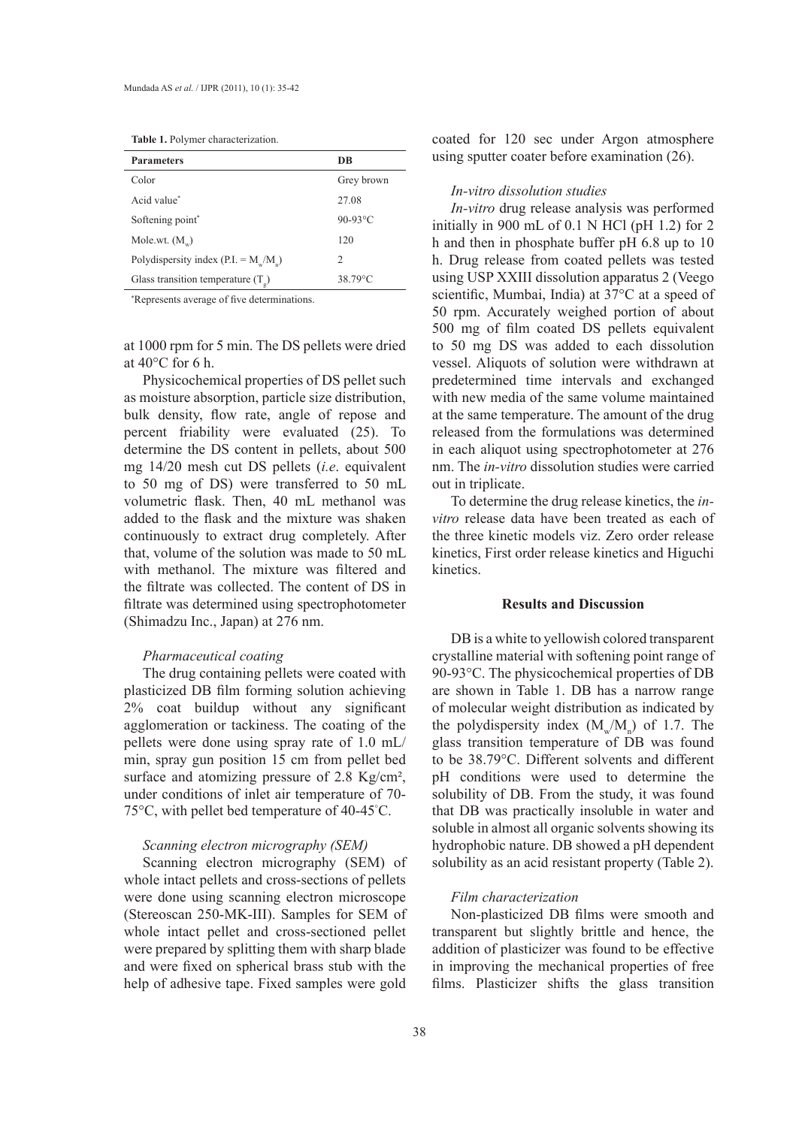**Table 1.** Polymer characterization.

| Grey brown |
|------------|
|            |
|            |
|            |
|            |
|            |
|            |

\* Represents average of five determinations.

at 1000 rpm for 5 min. The DS pellets were dried at 40°C for 6 h.

Physicochemical properties of DS pellet such as moisture absorption, particle size distribution, bulk density, flow rate, angle of repose and percent friability were evaluated (25). To determine the DS content in pellets, about 500 mg 14/20 mesh cut DS pellets (*i.e*. equivalent to 50 mg of DS) were transferred to 50 mL volumetric flask. Then, 40 mL methanol was added to the flask and the mixture was shaken continuously to extract drug completely. After that, volume of the solution was made to 50 mL with methanol. The mixture was filtered and the filtrate was collected. The content of DS in filtrate was determined using spectrophotometer (Shimadzu Inc., Japan) at 276 nm.

# *Pharmaceutical coating*

The drug containing pellets were coated with plasticized DB film forming solution achieving 2% coat buildup without any significant agglomeration or tackiness. The coating of the pellets were done using spray rate of 1.0 mL/ min, spray gun position 15 cm from pellet bed surface and atomizing pressure of 2.8 Kg/cm<sup>2</sup>, under conditions of inlet air temperature of 70- 75°C, with pellet bed temperature of 40-45° C.

# *Scanning electron micrography (SEM)*

Scanning electron micrography (SEM) of whole intact pellets and cross-sections of pellets were done using scanning electron microscope (Stereoscan 250-MK-III). Samples for SEM of whole intact pellet and cross-sectioned pellet were prepared by splitting them with sharp blade and were fixed on spherical brass stub with the help of adhesive tape. Fixed samples were gold coated for 120 sec under Argon atmosphere using sputter coater before examination (26).

#### *In-vitro dissolution studies*

*In-vitro* drug release analysis was performed initially in 900 mL of 0.1 N HCl (pH 1.2) for 2 h and then in phosphate buffer pH 6.8 up to 10 h. Drug release from coated pellets was tested using USP XXIII dissolution apparatus 2 (Veego scientific, Mumbai, India) at 37°C at a speed of 50 rpm. Accurately weighed portion of about 500 mg of film coated DS pellets equivalent to 50 mg DS was added to each dissolution vessel. Aliquots of solution were withdrawn at predetermined time intervals and exchanged with new media of the same volume maintained at the same temperature. The amount of the drug released from the formulations was determined in each aliquot using spectrophotometer at 276 nm. The *in-vitro* dissolution studies were carried out in triplicate.

To determine the drug release kinetics, the *invitro* release data have been treated as each of the three kinetic models viz. Zero order release kinetics, First order release kinetics and Higuchi kinetics.

### **Results and Discussion**

DB is a white to yellowish colored transparent crystalline material with softening point range of 90-93°C. The physicochemical properties of DB are shown in Table 1. DB has a narrow range of molecular weight distribution as indicated by the polydispersity index  $(M_w/M_n)$  of 1.7. The glass transition temperature of DB was found to be 38.79°C. Different solvents and different pH conditions were used to determine the solubility of DB. From the study, it was found that DB was practically insoluble in water and soluble in almost all organic solvents showing its hydrophobic nature. DB showed a pH dependent solubility as an acid resistant property (Table 2).

### *Film characterization*

Non-plasticized DB films were smooth and transparent but slightly brittle and hence, the addition of plasticizer was found to be effective in improving the mechanical properties of free films. Plasticizer shifts the glass transition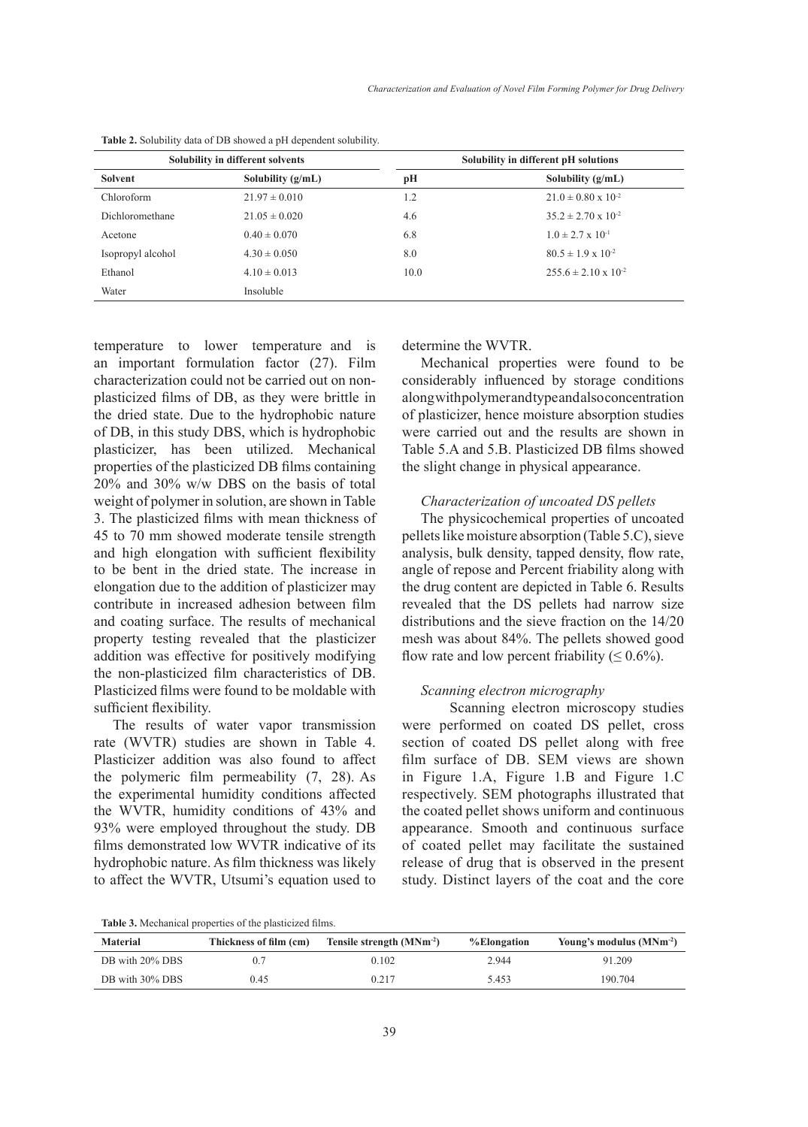| <b>Solubility in different solvents</b> |                     | Solubility in different pH solutions |                                 |
|-----------------------------------------|---------------------|--------------------------------------|---------------------------------|
| Solvent                                 | Solubility $(g/mL)$ | pН                                   | Solubility $(g/mL)$             |
| Chloroform                              | $21.97 \pm 0.010$   | 1.2                                  | $21.0 \pm 0.80 \times 10^{-2}$  |
| Dichloromethane                         | $21.05 \pm 0.020$   | 4.6                                  | $35.2 \pm 2.70 \times 10^{-2}$  |
| Acetone                                 | $0.40 \pm 0.070$    | 6.8                                  | $1.0 \pm 2.7 \times 10^{-1}$    |
| Isopropyl alcohol                       | $4.30 \pm 0.050$    | 8.0                                  | $80.5 \pm 1.9 \times 10^{-2}$   |
| Ethanol                                 | $4.10 \pm 0.013$    | 10.0                                 | $255.6 \pm 2.10 \times 10^{-2}$ |
| Water                                   | Insoluble           |                                      |                                 |

**Table 2.** Solubility data of DB showed a pH dependent solubility.

temperature to lower temperature and is an important formulation factor (27). Film characterization could not be carried out on nonplasticized films of DB, as they were brittle in the dried state. Due to the hydrophobic nature of DB, in this study DBS, which is hydrophobic plasticizer, has been utilized. Mechanical properties of the plasticized DB films containing 20% and 30% w/w DBS on the basis of total weight of polymer in solution, are shown in Table 3. The plasticized films with mean thickness of 45 to 70 mm showed moderate tensile strength and high elongation with sufficient flexibility to be bent in the dried state. The increase in elongation due to the addition of plasticizer may contribute in increased adhesion between film and coating surface. The results of mechanical property testing revealed that the plasticizer addition was effective for positively modifying the non-plasticized film characteristics of DB. Plasticized films were found to be moldable with sufficient flexibility.

The results of water vapor transmission rate (WVTR) studies are shown in Table 4. Plasticizer addition was also found to affect the polymeric film permeability (7, 28). As the experimental humidity conditions affected the WVTR, humidity conditions of 43% and 93% were employed throughout the study. DB films demonstrated low WVTR indicative of its hydrophobic nature. As film thickness was likely to affect the WVTR, Utsumi's equation used to determine the WVTR.

Mechanical properties were found to be considerably influenced by storage conditions along with polymer and type and also concentration of plasticizer, hence moisture absorption studies were carried out and the results are shown in Table 5.A and 5.B. Plasticized DB films showed the slight change in physical appearance.

### *Characterization of uncoated DS pellets*

The physicochemical properties of uncoated pellets like moisture absorption (Table 5.C), sieve analysis, bulk density, tapped density, flow rate, angle of repose and Percent friability along with the drug content are depicted in Table 6. Results revealed that the DS pellets had narrow size distributions and the sieve fraction on the 14/20 mesh was about 84%. The pellets showed good flow rate and low percent friability ( $\leq 0.6\%$ ).

### *Scanning electron micrography*

Scanning electron microscopy studies were performed on coated DS pellet, cross section of coated DS pellet along with free film surface of DB. SEM views are shown in Figure 1.A, Figure 1.B and Figure 1.C respectively. SEM photographs illustrated that the coated pellet shows uniform and continuous appearance. Smooth and continuous surface of coated pellet may facilitate the sustained release of drug that is observed in the present study. Distinct layers of the coat and the core

**Table 3.** Mechanical properties of the plasticized films.

| <b>Material</b> | Thickness of film (cm) | Tensile strength $(MNm^{-2})$ | %Elongation | Young's modulus $(MNm^{-2})$ |
|-----------------|------------------------|-------------------------------|-------------|------------------------------|
| DB with 20% DBS |                        | 0.102                         | 2.944       | 91.209                       |
| DB with 30% DBS | 0.45                   | 0.217                         | 5.453       | 190.704                      |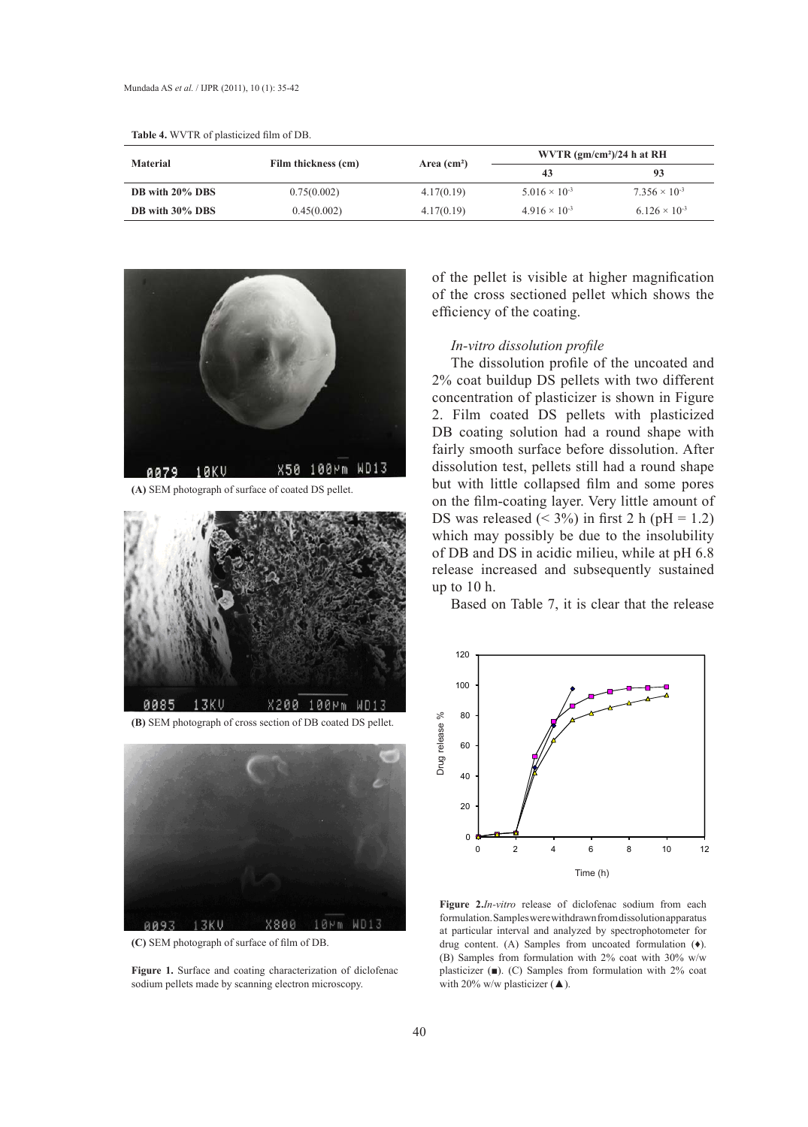|                 |                     | Area $(cm2)$ | WVTR $(gm/cm2)/24$ h at RH |                        |
|-----------------|---------------------|--------------|----------------------------|------------------------|
| <b>Material</b> | Film thickness (cm) |              | 43                         | 93                     |
| DB with 20% DBS | 0.75(0.002)         | 4.17(0.19)   | $5.016 \times 10^{-3}$     | $7.356 \times 10^{-3}$ |
| DB with 30% DBS | 0.45(0.002)         | 4.17(0.19)   | $4.916 \times 10^{-3}$     | $6.126 \times 10^{-3}$ |

**Table 4.** WVTR of plasticized film of DB.



**(A) SEM photograph of surface of coated DS pellet. (A)** SEM photograph of surface of coated DS pellet.



**(B) SEM photograph of cross section of DB coated DS pellet. (B)** SEM photograph of cross section of DB coated DS pellet.



**(C) SEM photograph of surface of film of DB. (C)** SEM photograph of surface of film of DB.

**Figure 1.** Surface and coating characterization of diclofenac sodium pellets made by scanning electron microscopy.

of the pellet is visible at higher magnification of the cross sectioned pellet which shows the efficiency of the coating.

### *In-vitro dissolution profile*

The dissolution profile of the uncoated and 2% coat buildup DS pellets with two different concentration of plasticizer is shown in Figure 2. Film coated DS pellets with plasticized DB coating solution had a round shape with fairly smooth surface before dissolution. After dissolution test, pellets still had a round shape but with little collapsed film and some pores on the film-coating layer. Very little amount of DS was released  $(< 3\%)$  in first 2 h (pH = 1.2) which may possibly be due to the insolubility of DB and DS in acidic milieu, while at pH 6.8 release increased and subsequently sustained up to 10 h.

Based on Table 7, it is clear that the release **Figure 2.** *In-vitro* release of diclofenac sodium from each formulation. Samples were withdrawn from



Figure 2.*In-vitro* release of diclofenac sodium from each at particular interval and analyzed by spectrophotometer for drug content. (A) Samples from uncoated formulation  $(4)$ . (B) Samples from formulation with 2% coat with 30% w/w plasticizer  $($ ■). (C) Samples from formulation with 2% coat formulation. Samples were withdrawn from dissolution apparatus with 20% w/w plasticizer  $(\triangle)$ .

found to improve the film characteristics satisfactorily at the concentration of about 20% and 30% and 30% and 30% and 30% and 30% and 30% and 30% and 30% and 30% and 30% and 30% and 30% and 30% and 30% and 30% and 30% an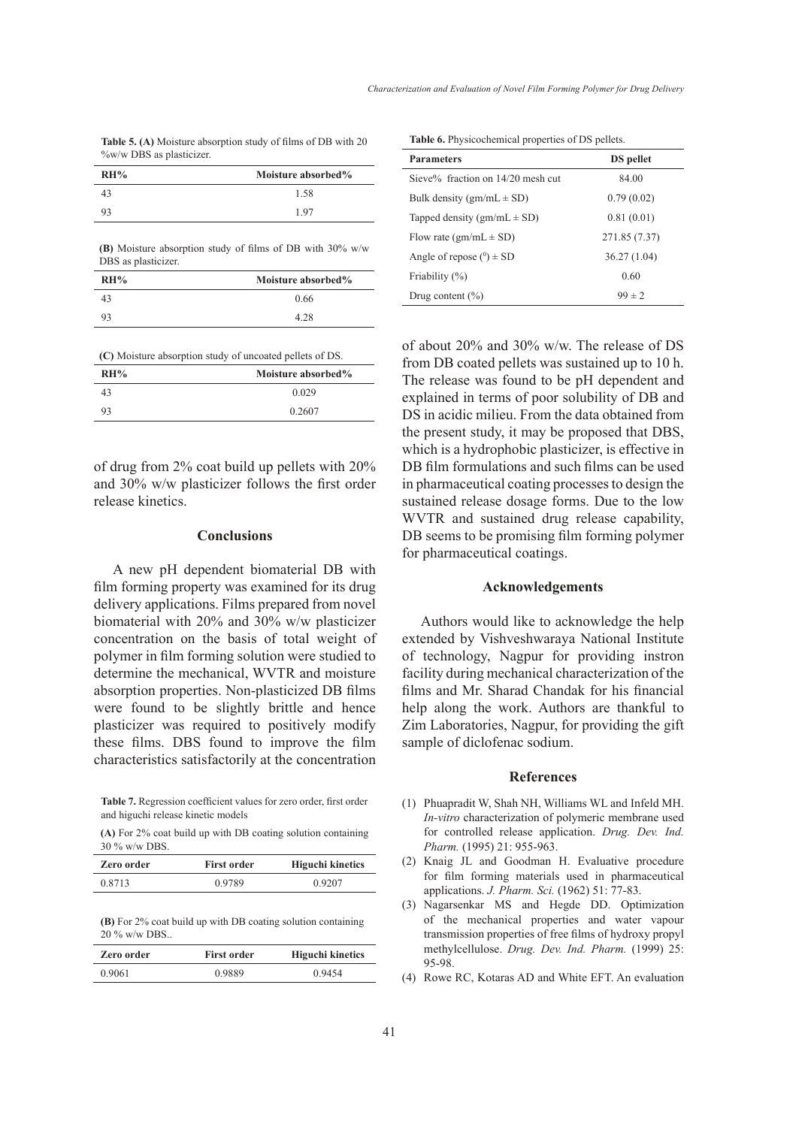**Table 5. (A)** Moisture absorption study of films of DB with 20 %w/w DBS as plasticizer.

| RH% | Moisture absorbed% |
|-----|--------------------|
|     | 1.58               |
| 93  | 197                |

**(B)** Moisture absorption study of films of DB with 30% w/w DBS as plasticizer.

| RH% | Moisture absorbed% |
|-----|--------------------|
|     | 0.66               |
| 93  | 4.28               |

**(C)** Moisture absorption study of uncoated pellets of DS.

| RH% | Moisture absorbed% |
|-----|--------------------|
| 43  | 0.029              |
| 93  | 0.2607             |

of drug from 2% coat build up pellets with 20% and 30% w/w plasticizer follows the first order release kinetics.

### **Conclusions**

A new pH dependent biomaterial DB with film forming property was examined for its drug delivery applications. Films prepared from novel biomaterial with 20% and 30% w/w plasticizer concentration on the basis of total weight of polymer in film forming solution were studied to determine the mechanical, WVTR and moisture absorption properties. Non-plasticized DB films were found to be slightly brittle and hence plasticizer was required to positively modify these films. DBS found to improve the film characteristics satisfactorily at the concentration

**Table 7.** Regression coefficient values for zero order, first order and higuchi release kinetic models

**(A)** For 2% coat build up with DB coating solution containing 30 % w/w DBS.

| Zero order | <b>First order</b> | <b>Higuchi kinetics</b> |
|------------|--------------------|-------------------------|
| 0.8713     | 0.9789             | 0.9207                  |

**(B)** For 2% coat build up with DB coating solution containing 20 % w/w DBS..

| Zero order | <b>First order</b> | <b>Higuchi kinetics</b> |
|------------|--------------------|-------------------------|
| 0.9061     | 0.9889             | 0.9454                  |

**Table 6.** Physicochemical properties of DS pellets.

| <b>Parameters</b>                     | <b>DS</b> pellet |
|---------------------------------------|------------------|
| Sieve $\%$ fraction on 14/20 mesh cut | 84.00            |
| Bulk density (gm/mL $\pm$ SD)         | 0.79(0.02)       |
| Tapped density $(gm/mL \pm SD)$       | 0.81(0.01)       |
| Flow rate $(gm/mL \pm SD)$            | 271.85 (7.37)    |
| Angle of repose $(0) \pm SD$          | 36.27(1.04)      |
| Friability (%)                        | 0.60             |
| Drug content $(\% )$                  | $99 \pm 2$       |

of about 20% and 30% w/w. The release of DS from DB coated pellets was sustained up to 10 h. The release was found to be pH dependent and explained in terms of poor solubility of DB and DS in acidic milieu. From the data obtained from the present study, it may be proposed that DBS, which is a hydrophobic plasticizer, is effective in DB film formulations and such films can be used in pharmaceutical coating processes to design the sustained release dosage forms. Due to the low WVTR and sustained drug release capability, DB seems to be promising film forming polymer for pharmaceutical coatings.

### **Acknowledgements**

Authors would like to acknowledge the help extended by Vishveshwaraya National Institute of technology, Nagpur for providing instron facility during mechanical characterization of the films and Mr. Sharad Chandak for his financial help along the work. Authors are thankful to Zim Laboratories, Nagpur, for providing the gift sample of diclofenac sodium.

#### **References**

- Phuapradit W, Shah NH, Williams WL and Infeld MH. (1) *In-vitro* characterization of polymeric membrane used for controlled release application. *Drug. Dev. Ind. Pharm.* (1995) 21: 955-963.
- (2) Knaig JL and Goodman H. Evaluative procedure for film forming materials used in pharmaceutical applications. *J. Pharm. Sci.* (1962) 51: 77-83.
- (3) Nagarsenkar MS and Hegde DD. Optimization of the mechanical properties and water vapour transmission properties of free films of hydroxy propyl methylcellulose. *Drug. Dev. Ind. Pharm.* (1999) 25: 95-98.
- (4) Rowe RC, Kotaras AD and White EFT. An evaluation